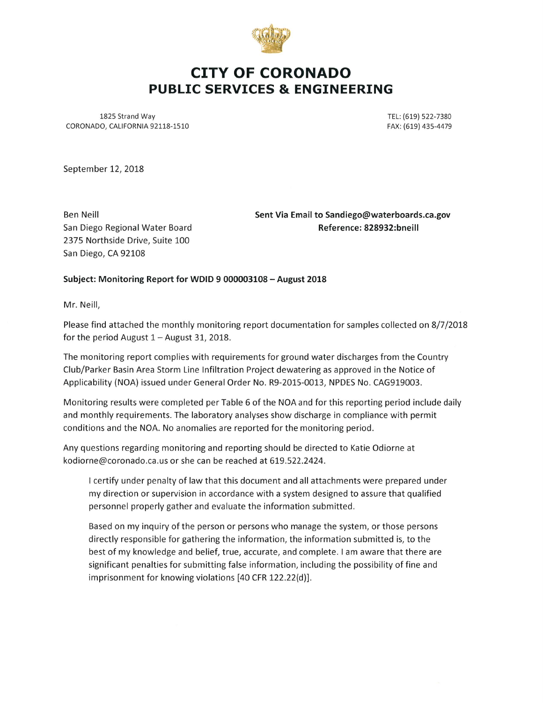

# CITY OF CORONADO PUBLIC SERVICES & ENGINEERING

1825 Strand Way CORONADO, CALIFORNIA 92118-1510

TEL: (619) 522-7380 FAX: (619) 435-4479

September 12, 2018

Ben Neill San Diego Regional Water Board 2375 Northside Drive, Suite 100 San Diego, CA 92108

Sent Via Email to Sandiego@waterboards.ca.gov Reference: 828932:bneill

#### Subject: Monitoring Report for WDID 9 000003108 - August 2018

Mr. Neill.

Please find attached the monthly monitoring report documentation for samples collected on 8/7/2018 for the period August  $1 -$  August 31, 2018.

The monitoring report complies with requirements for ground water discharges from the Country Club/Parker Basin Area Storm Line Infiltration Project dewatering as approved in the Notice of Applicability (NOA) issued under General Order No. R9-2015-0013, NPDES No. CAG919003.

Monitoring results were completed per Table 6 of the NOA and for this reporting period include daily and monthly requirements. The laboratory analyses show discharge in compliance with permit conditions and the NOA. No anomalies are reported for the monitoring period.

Any questions regarding monitoring and reporting should be directed to Katie Odiorne at kodiorne@coronado.ca.us or she can be reached at 619.522.2424.

I certify under penalty of law that this document and all attachments were prepared under my direction or supervision in accordance with a system designed to assure that qualified personnel properly gather and evaluate the information submitted.

Based on my inquiry of the person or persons who manage the system, or those persons directly responsible for gathering the information, the information submitted is, to the best of my knowledge and belief, true, accurate, and complete. I am aware that there are significant penalties for submitting false information, including the possibility of fine and imprisonment for knowing violations [40 CFR 122.22(d)].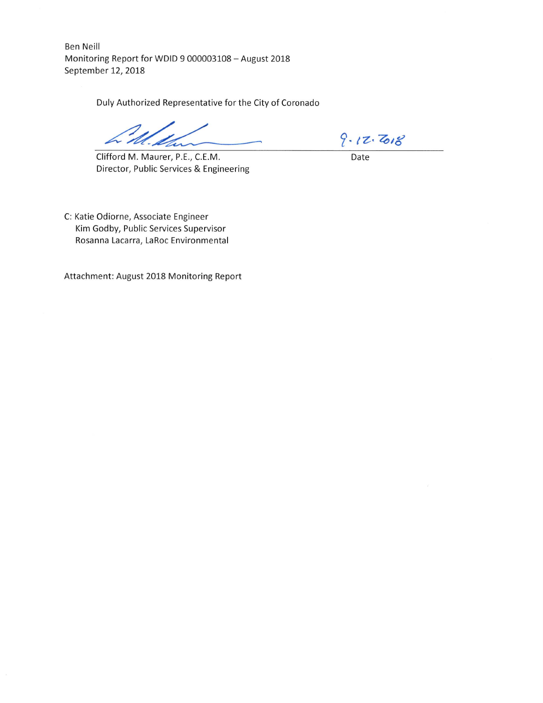Ben Neill Monitoring Report for WDID 9 000003108 - August 2018 September 12, 2018

Duly Authorized Representative for the City of Coronado

Clifford M. Maurer, P.E, C.E.M. Director, Public Services & Engineering

 $9.12.708$ 

Date

C: Katie Odiorne, Associate Engineer Kim Godby, Public Services Supervisor Rosanna Lacarra, LaRoc Environmental

Attachment: August 2018 Monitoring Report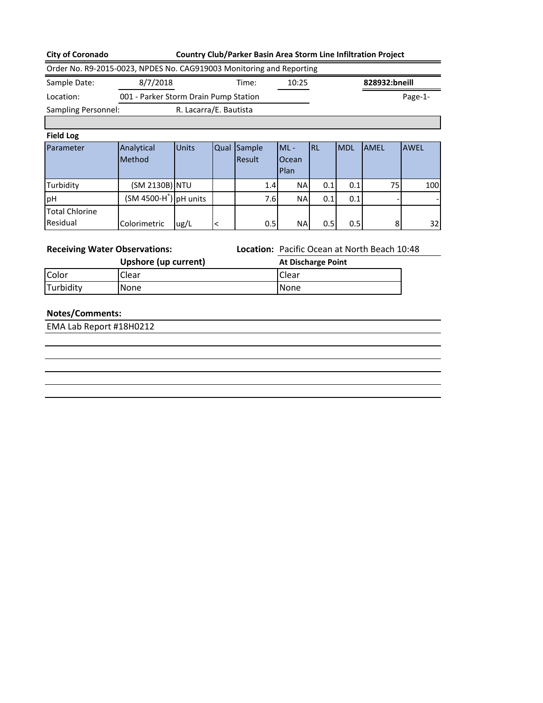### **City of Coronado Country Club/Parker Basin Area Storm Line Infiltration Project**

|                     | Order No. R9-2015-0023, NPDES No. CAG919003 Monitoring and Reporting |                        |       |               |
|---------------------|----------------------------------------------------------------------|------------------------|-------|---------------|
| Sample Date:        | 8/7/2018                                                             | Time:                  | 10:25 | 828932:bneill |
| Location:           | 001 - Parker Storm Drain Pump Station                                |                        |       | Page-1-       |
| Sampling Personnel: |                                                                      | R. Lacarra/E. Bautista |       |               |
|                     |                                                                      |                        |       |               |

#### **Field Log**

| Parameter             | Analytical              | <b>Units</b> | Qual Sample | $ML -$        | <b>IRL</b> | <b>IMDL</b> | <b>JAMEL</b> | <b>AWEL</b>              |
|-----------------------|-------------------------|--------------|-------------|---------------|------------|-------------|--------------|--------------------------|
|                       | <b>Method</b>           |              | Result      | Ocean<br>Plan |            |             |              |                          |
| Turbidity             | (SM 2130B) NTU          |              | 1.4         | <b>NA</b>     | 0.1        | 0.1         | 75I          | 100                      |
| pH                    | $(SM 4500-H+)$ pH units |              | 7.6I        | <b>NA</b>     | 0.1        | 0.1         |              | $\overline{\phantom{a}}$ |
| <b>Total Chlorine</b> |                         |              |             |               |            |             |              |                          |
| Residual              | Colorimetric            | ug/L         | 0.5         | NA            | 0.5        | 0.5         | 8            | 32                       |

**Receiving Water Observations: Location:** Pacific Ocean at North Beach 10:48

|           | Upshore (up current) | <b>At Discharge Point</b> |
|-----------|----------------------|---------------------------|
| Color     | Clear                | <b>Clear</b>              |
| Turbidity | None                 | None                      |

## **Notes/Comments:**

EMA Lab Report #18H0212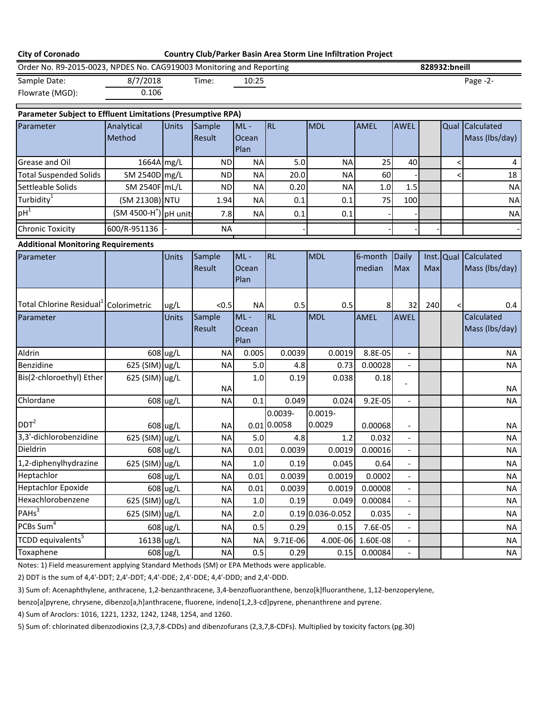| <b>City of Coronado</b>                                                                    |                                    |              |                  |                         |                        | Country Club/Parker Basin Area Storm Line Infiltration Project |             |                          |     |               |                              |
|--------------------------------------------------------------------------------------------|------------------------------------|--------------|------------------|-------------------------|------------------------|----------------------------------------------------------------|-------------|--------------------------|-----|---------------|------------------------------|
| Order No. R9-2015-0023, NPDES No. CAG919003 Monitoring and Reporting                       |                                    |              |                  |                         |                        |                                                                |             |                          |     | 828932:bneill |                              |
| Sample Date:                                                                               | 8/7/2018                           |              | Time:            | 10:25                   |                        |                                                                |             |                          |     |               | Page -2-                     |
| Flowrate (MGD):                                                                            | 0.106                              |              |                  |                         |                        |                                                                |             |                          |     |               |                              |
| <b>Parameter Subject to Effluent Limitations (Presumptive RPA)</b>                         |                                    |              |                  |                         |                        |                                                                |             |                          |     |               |                              |
| Parameter                                                                                  | Analytical                         | <b>Units</b> | Sample           | $ML -$                  | <b>RL</b>              | <b>MDL</b>                                                     | <b>AMEL</b> | <b>AWEL</b>              |     |               | Qual Calculated              |
|                                                                                            | Method                             |              | Result           | Ocean<br>Plan           |                        |                                                                |             |                          |     |               | Mass (lbs/day)               |
| Grease and Oil                                                                             | 1664A mg/L                         |              | <b>ND</b>        | <b>NA</b>               | 5.0                    | <b>NA</b>                                                      | 25          | 40                       |     | <             | 4                            |
| <b>Total Suspended Solids</b>                                                              | SM 2540D mg/L                      |              | <b>ND</b>        | <b>NA</b>               | 20.0                   | <b>NA</b>                                                      | 60          |                          |     |               | 18                           |
| Settleable Solids                                                                          | SM 2540F mL/L                      |              | <b>ND</b>        | <b>NA</b>               | 0.20                   | <b>NA</b>                                                      | 1.0         | 1.5                      |     |               | <b>NA</b>                    |
| Turbidity <sup>1</sup>                                                                     | (SM 2130B) NTU                     |              | 1.94             | <b>NA</b>               | 0.1                    | 0.1                                                            | 75          | 100                      |     |               | <b>NA</b>                    |
| $pH^1$                                                                                     | (SM 4500-H <sup>+</sup> ) pH units |              | 7.8              | <b>NA</b>               | 0.1                    | 0.1                                                            |             |                          |     |               | <b>NA</b>                    |
| <b>Chronic Toxicity</b>                                                                    | 600/R-951136                       |              | <b>NA</b>        |                         |                        |                                                                |             |                          |     |               |                              |
| <b>Additional Monitoring Requirements</b>                                                  |                                    |              |                  |                         |                        |                                                                |             |                          |     |               |                              |
| Parameter                                                                                  |                                    | Units        | Sample           | $ML -$                  | <b>RL</b>              | <b>MDL</b>                                                     | 6-month     | <b>Daily</b>             |     | Inst. Qual    | Calculated                   |
|                                                                                            |                                    |              | Result           | Ocean<br>Plan           |                        |                                                                | median      | Max                      | Max |               | Mass (lbs/day)               |
| Total Chlorine Residual <sup>1</sup> Colorimetric                                          |                                    | ug/L         | < 0.5            | <b>NA</b>               | 0.5                    | 0.5                                                            | 8           | 32                       | 240 | $\lt$         | 0.4                          |
| Parameter                                                                                  |                                    | Units        | Sample<br>Result | $ML -$<br>Ocean<br>Plan | RL                     | <b>MDL</b>                                                     | <b>AMEL</b> | <b>AWEL</b>              |     |               | Calculated<br>Mass (lbs/day) |
| Aldrin                                                                                     |                                    | 608 ug/L     | <b>NA</b>        | 0.005                   | 0.0039                 | 0.0019                                                         | 8.8E-05     | $\overline{\phantom{a}}$ |     |               | <b>NA</b>                    |
| Benzidine                                                                                  | 625 (SIM) ug/L                     |              | <b>NA</b>        | 5.0                     | 4.8                    | 0.73                                                           | 0.00028     |                          |     |               | <b>NA</b>                    |
| Bis(2-chloroethyl) Ether                                                                   | 625 (SIM) ug/L                     |              | <b>NA</b>        | 1.0                     | 0.19                   | 0.038                                                          | 0.18        |                          |     |               | <b>NA</b>                    |
| Chlordane                                                                                  |                                    | 608 ug/L     | <b>NA</b>        | 0.1                     | 0.049                  | 0.024                                                          | 9.2E-05     | $\overline{\phantom{a}}$ |     |               | <b>NA</b>                    |
| DDT <sup>2</sup>                                                                           |                                    | 608 ug/L     | <b>NA</b>        |                         | 0.0039-<br>0.01 0.0058 | $0.0019 -$<br>0.0029                                           | 0.00068     |                          |     |               | <b>NA</b>                    |
| 3,3'-dichlorobenzidine                                                                     | 625 (SIM) ug/L                     |              | <b>NA</b>        | 5.0                     | 4.8                    | 1.2                                                            | 0.032       |                          |     |               | <b>NA</b>                    |
| Dieldrin                                                                                   |                                    | 608 ug/L     | <b>NA</b>        | 0.01                    | 0.0039                 | 0.0019                                                         | 0.00016     | $\overline{\phantom{a}}$ |     |               | NA                           |
| 1,2-diphenylhydrazine                                                                      | 625 (SIM) ug/L                     |              | <b>NA</b>        | $1.0\,$                 | 0.19                   | 0.045                                                          | 0.64        |                          |     |               | <b>NA</b>                    |
| Heptachlor                                                                                 |                                    | 608 ug/L     | <b>NA</b>        | 0.01                    | 0.0039                 | 0.0019                                                         | 0.0002      |                          |     |               | <b>NA</b>                    |
| <b>Heptachlor Epoxide</b>                                                                  |                                    | 608 ug/L     | <b>NA</b>        | 0.01                    | 0.0039                 | 0.0019                                                         | 0.00008     | $\overline{\phantom{a}}$ |     |               | <b>NA</b>                    |
| Hexachlorobenzene                                                                          | 625 (SIM) ug/L                     |              | <b>NA</b>        | 1.0                     | 0.19                   | 0.049                                                          | 0.00084     | $\overline{\phantom{a}}$ |     |               | <b>NA</b>                    |
| PAHs <sup>3</sup>                                                                          | 625 (SIM) ug/L                     |              | <b>NA</b>        | 2.0                     |                        | $0.19$ 0.036-0.052                                             | 0.035       | $\overline{\phantom{a}}$ |     |               | <b>NA</b>                    |
| PCBs Sum <sup>4</sup>                                                                      |                                    | 608 ug/L     | <b>NA</b>        | 0.5                     | 0.29                   | 0.15                                                           | 7.6E-05     | $\overline{\phantom{a}}$ |     |               | <b>NA</b>                    |
| TCDD equivalents <sup>5</sup>                                                              | 1613B ug/L                         |              | <b>NA</b>        | <b>NA</b>               | $9.71E-06$             | 4.00E-06                                                       | 1.60E-08    | $\overline{\phantom{a}}$ |     |               | <b>NA</b>                    |
| Toxaphene                                                                                  |                                    | 608 ug/L     | <b>NA</b>        | 0.5                     | 0.29                   | 0.15                                                           | 0.00084     | $\overline{\phantom{a}}$ |     |               | <b>NA</b>                    |
| Notes: 1) Field measurement applying Standard Methods (SM) or EPA Methods were applicable. |                                    |              |                  |                         |                        |                                                                |             |                          |     |               |                              |

2) DDT is the sum of 4,4'-DDT; 2,4'-DDT; 4,4'-DDE; 2,4'-DDE; 4,4'-DDD; and 2,4'-DDD.

3) Sum of: Acenaphthylene, anthracene, 1,2-benzanthracene, 3,4-benzofluoranthene, benzo[k]fluoranthene, 1,12-benzoperylene,

benzo[a]pyrene, chrysene, dibenzo[a,h]anthracene, fluorene, indeno[1,2,3-cd]pyrene, phenanthrene and pyrene.

4) Sum of Aroclors: 1016, 1221, 1232, 1242, 1248, 1254, and 1260.

5) Sum of: chlorinated dibenzodioxins (2,3,7,8-CDDs) and dibenzofurans (2,3,7,8-CDFs). Multiplied by toxicity factors (pg.30)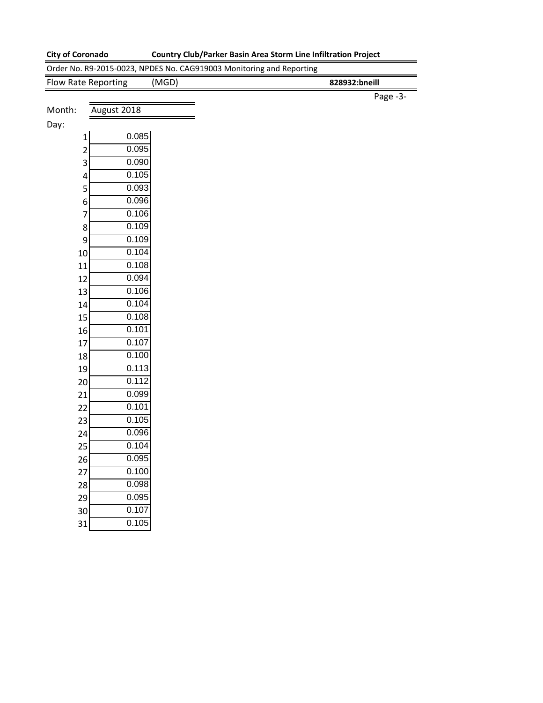0.107 0.105

#### **City of Coronado Country Club/Parker Basin Area Storm Line Infiltration Project**

|                         | Order No. R9-2015-0023, NPDES No. CAG919003 Monitoring and Reporting |               |
|-------------------------|----------------------------------------------------------------------|---------------|
| Flow Rate Reporting     | (MGD)                                                                | 828932:bneill |
|                         |                                                                      | Page -3-      |
| Month:<br>August 2018   |                                                                      |               |
| Day:                    |                                                                      |               |
| 1                       | 0.085                                                                |               |
| $\overline{\mathbf{c}}$ | 0.095                                                                |               |
| 3                       | 0.090                                                                |               |
| 4                       | 0.105                                                                |               |
| 5                       | 0.093                                                                |               |
| 6                       | 0.096                                                                |               |
| 7                       | 0.106                                                                |               |
| 8                       | 0.109                                                                |               |
| 9                       | 0.109                                                                |               |
| 10                      | 0.104                                                                |               |
| 11                      | 0.108                                                                |               |
| 12                      | 0.094                                                                |               |
| 13                      | 0.106                                                                |               |
| 14                      | 0.104                                                                |               |
| 15                      | 0.108                                                                |               |
| 16                      | 0.101                                                                |               |
| 17                      | 0.107                                                                |               |
| 18                      | 0.100                                                                |               |
| 19                      | 0.113                                                                |               |
| 20                      | 0.112                                                                |               |
| 21                      | 0.099                                                                |               |
| 22                      | 0.101                                                                |               |
| 23                      | 0.105                                                                |               |
| 24                      | 0.096                                                                |               |
| 25                      | 0.104                                                                |               |
| 26                      | 0.095                                                                |               |
| 27                      | 0.100                                                                |               |
| 28                      | 0.098                                                                |               |
| 29                      | 0.095                                                                |               |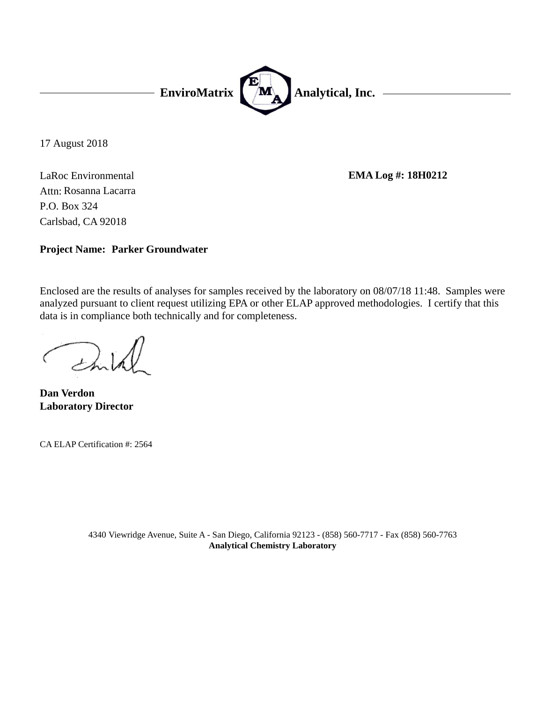

17 August 2018

LaRoc Environmental Carlsbad, CA 92018 P.O. Box 324 Attn: Rosanna Lacarra

**EMA Log #: 18H0212**

**Project Name: Parker Groundwater**

Enclosed are the results of analyses for samples received by the laboratory on 08/07/18 11:48. Samples were analyzed pursuant to client request utilizing EPA or other ELAP approved methodologies. I certify that this data is in compliance both technically and for completeness.

**Laboratory Director Dan Verdon**

CA ELAP Certification #: 2564

4340 Viewridge Avenue, Suite A - San Diego, California 92123 - (858) 560-7717 - Fax (858) 560-7763 **Analytical Chemistry Laboratory**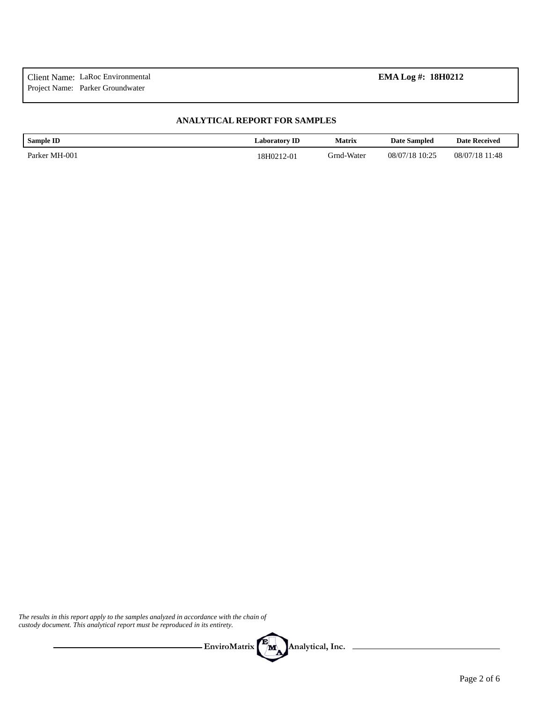#### **ANALYTICAL REPORT FOR SAMPLES**

| <b>Sample ID</b> | <b>Laboratory ID</b> | Matrix     | <b>Date Sampled</b> | <b>Date Received</b> |
|------------------|----------------------|------------|---------------------|----------------------|
| Parker MH-001    | 18H0212-01           | Grnd-Water | 08/07/18 10:25      | 08/07/18 11:48       |

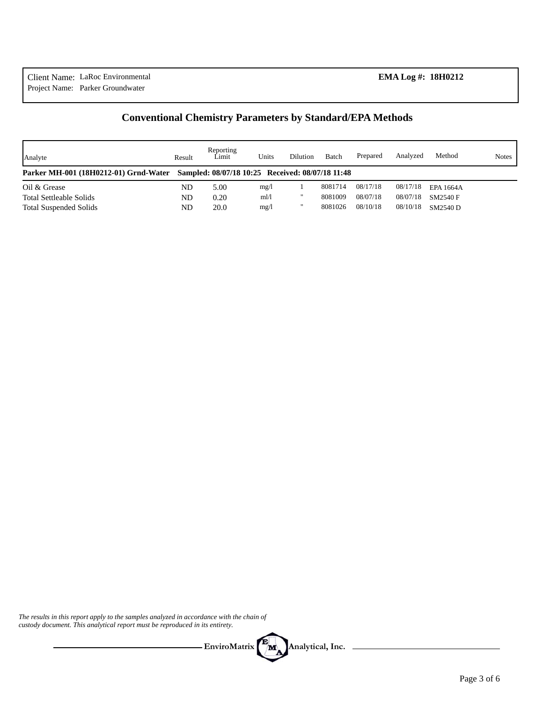# **Conventional Chemistry Parameters by Standard/EPA Methods**

| Analyte                                                                                | Result | Reporting<br>Limit | Units | Dilution          | Batch   | Prepared | Analyzed | Method    | <b>Notes</b> |
|----------------------------------------------------------------------------------------|--------|--------------------|-------|-------------------|---------|----------|----------|-----------|--------------|
| Parker MH-001 (18H0212-01) Grnd-Water Sampled: 08/07/18 10:25 Received: 08/07/18 11:48 |        |                    |       |                   |         |          |          |           |              |
| Oil & Grease                                                                           | ND     | 5.00               | mg/l  |                   | 8081714 | 08/17/18 | 08/17/18 | EPA 1664A |              |
| <b>Total Settleable Solids</b>                                                         | ND     | 0.20               | ml/1  | $^{\prime\prime}$ | 8081009 | 08/07/18 | 08/07/18 | SM2540 F  |              |
| <b>Total Suspended Solids</b>                                                          | ND     | 20.0               | mg/l  | $^{\prime\prime}$ | 8081026 | 08/10/18 | 08/10/18 | SM2540 D  |              |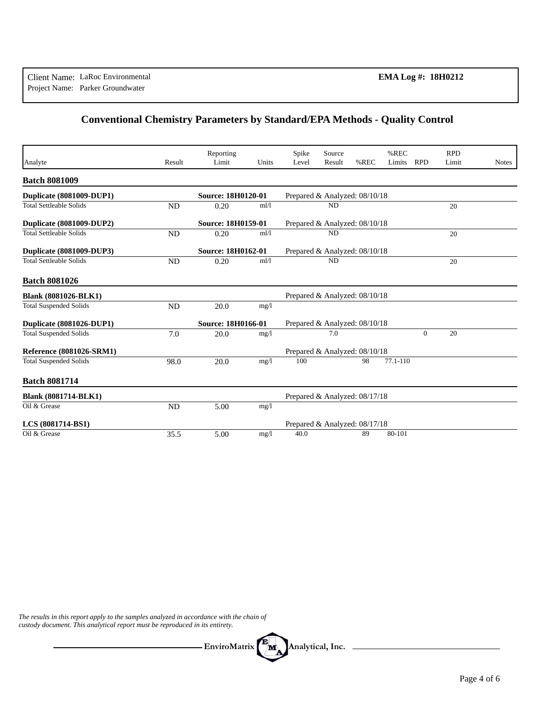# **Conventional Chemistry Parameters by Standard/EPA Methods - Quality Control**

|                                |           | Reporting                 |       | Spike                         | Source                        |      | %REC     |            | <b>RPD</b> |              |
|--------------------------------|-----------|---------------------------|-------|-------------------------------|-------------------------------|------|----------|------------|------------|--------------|
| Analyte                        | Result    | Limit                     | Units | Level                         | Result                        | %REC | Limits   | <b>RPD</b> | Limit      | <b>Notes</b> |
| <b>Batch 8081009</b>           |           |                           |       |                               |                               |      |          |            |            |              |
| Duplicate (8081009-DUP1)       |           | <b>Source: 18H0120-01</b> |       |                               | Prepared & Analyzed: 08/10/18 |      |          |            |            |              |
| <b>Total Settleable Solids</b> | <b>ND</b> | 0.20                      | ml/1  |                               | <b>ND</b>                     |      |          |            | 20         |              |
| Duplicate (8081009-DUP2)       |           | Source: 18H0159-01        |       | Prepared & Analyzed: 08/10/18 |                               |      |          |            |            |              |
| <b>Total Settleable Solids</b> | ND        | 0.20                      | ml/1  |                               | <b>ND</b>                     |      |          |            | 20         |              |
| Duplicate (8081009-DUP3)       |           | Source: 18H0162-01        |       |                               | Prepared & Analyzed: 08/10/18 |      |          |            |            |              |
| <b>Total Settleable Solids</b> | ND        | 0.20                      | ml/l  |                               | <b>ND</b>                     |      |          |            | 20         |              |
| <b>Batch 8081026</b>           |           |                           |       |                               |                               |      |          |            |            |              |
| <b>Blank (8081026-BLK1)</b>    |           |                           |       |                               | Prepared & Analyzed: 08/10/18 |      |          |            |            |              |
| <b>Total Suspended Solids</b>  | <b>ND</b> | 20.0                      | mg/1  |                               |                               |      |          |            |            |              |
| Duplicate (8081026-DUP1)       |           | Source: 18H0166-01        |       |                               | Prepared & Analyzed: 08/10/18 |      |          |            |            |              |
| <b>Total Suspended Solids</b>  | 7.0       | 20.0                      | mg/1  |                               | 7.0                           |      |          | $\Omega$   | 20         |              |
| Reference (8081026-SRM1)       |           |                           |       |                               | Prepared & Analyzed: 08/10/18 |      |          |            |            |              |
| Total Suspended Solids         | 98.0      | 20.0                      | mg/1  | 100                           |                               | 98   | 77.1-110 |            |            |              |
| <b>Batch 8081714</b>           |           |                           |       |                               |                               |      |          |            |            |              |
| <b>Blank (8081714-BLK1)</b>    |           |                           |       |                               | Prepared & Analyzed: 08/17/18 |      |          |            |            |              |
| Oil & Grease                   | <b>ND</b> | 5.00                      | mg/1  |                               |                               |      |          |            |            |              |
| LCS (8081714-BS1)              |           |                           |       |                               | Prepared & Analyzed: 08/17/18 |      |          |            |            |              |
| Oil & Grease                   | 35.5      | 5.00                      | mg/1  | 40.0                          |                               | 89   | 80-101   |            |            |              |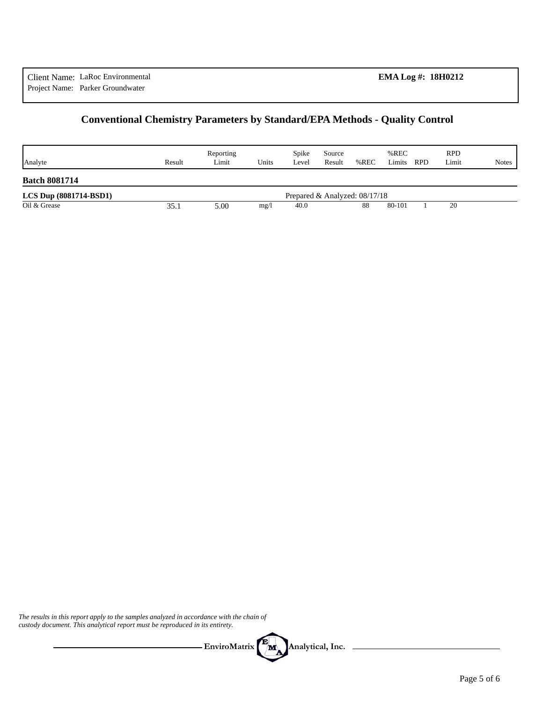# **Conventional Chemistry Parameters by Standard/EPA Methods - Quality Control**

| Analyte                    | Result | Reporting<br>Limit | Units | Spike<br>Level | Source<br>Result | %REC                          | %REC<br>Limits | <b>RPD</b> | <b>RPD</b><br>Limit | <b>Notes</b> |
|----------------------------|--------|--------------------|-------|----------------|------------------|-------------------------------|----------------|------------|---------------------|--------------|
| <b>Batch 8081714</b>       |        |                    |       |                |                  |                               |                |            |                     |              |
| $LCS$ Dup $(8081714-BSD1)$ |        |                    |       |                |                  | Prepared & Analyzed: 08/17/18 |                |            |                     |              |
| Oil & Grease               | 35.1   | 5.00               | mg/l  | 40.0           |                  | 88                            | 80-101         |            | 20                  |              |

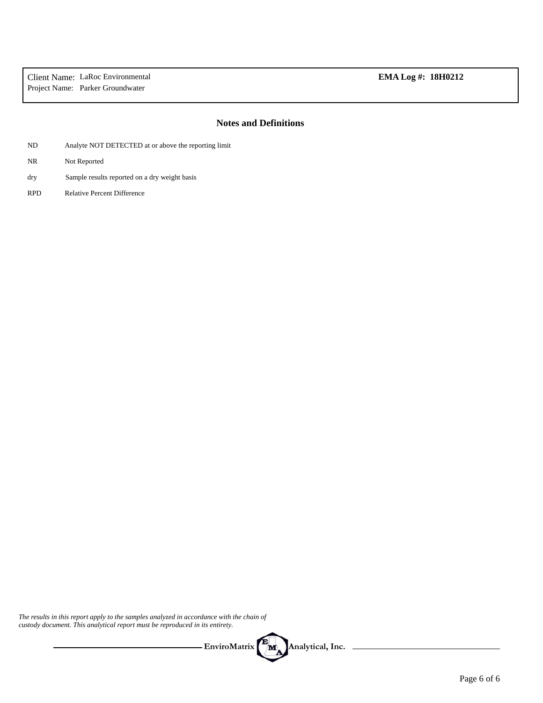### **Notes and Definitions**

- ND Analyte NOT DETECTED at or above the reporting limit
- NR Not Reported
- Sample results reported on a dry weight basis dry
- RPD Relative Percent Difference